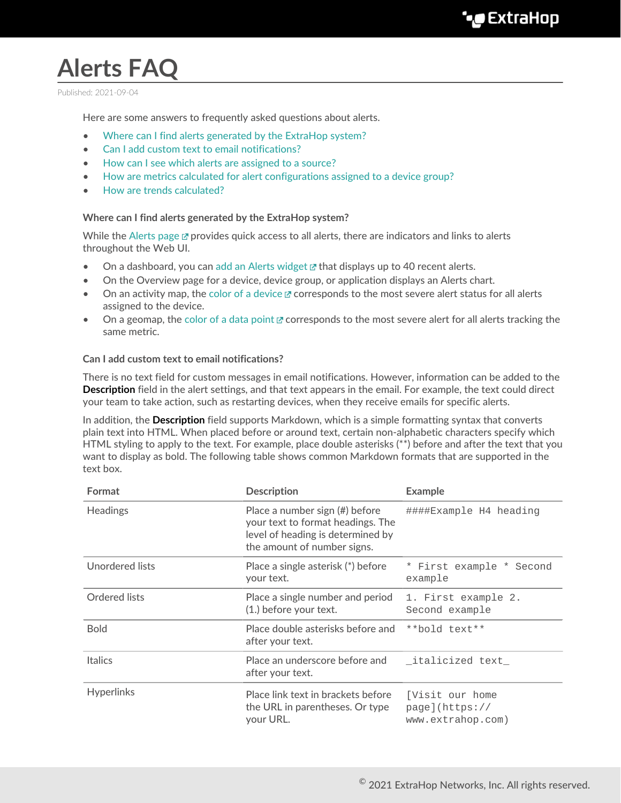# **Alerts FAQ**

Published: 2021-09-04

Here are some answers to frequently asked questions about alerts.

- [Where can I find alerts generated by the ExtraHop system?](#page-0-0)
- [Can I add custom text to email notifications?](#page-0-1)
- [How can I see which alerts are assigned to a source?](#page-1-0)
- [How are metrics calculated for alert configurations assigned to a device group?](#page-1-1)
- <span id="page-0-0"></span>• [How are trends calculated?](#page-1-2)

#### **Where can I find alerts generated by the ExtraHop system?**

While the [Alerts page](https://docs.extrahop.com/8.2/alerts/#viewing-alerts)  $\mathbb Z$  provides quick access to all alerts, there are indicators and links to alerts throughout the Web UI.

- On a dashboard, you can [add an Alerts widget](https://docs.extrahop.com/8.2/edit-dashboard-layout)  $\mathbb Z$  that displays up to 40 recent alerts.
- On the Overview page for a device, device group, or application displays an Alerts chart.
- On an activity map, the [color of a device](https://docs.extrahop.com/8.2/activity-maps/#color)  $\mathbb Z$  corresponds to the most severe alert status for all alerts assigned to the device.
- On a geomap, the [color of a data point](https://docs.extrahop.com/8.2/geomaps/#view-alert-details)  $\mathbb F$  corresponds to the most severe alert for all alerts tracking the same metric.

#### <span id="page-0-1"></span>**Can I add custom text to email notifications?**

There is no text field for custom messages in email notifications. However, information can be added to the **Description** field in the alert settings, and that text appears in the email. For example, the text could direct your team to take action, such as restarting devices, when they receive emails for specific alerts.

In addition, the **Description** field supports Markdown, which is a simple formatting syntax that converts plain text into HTML. When placed before or around text, certain non-alphabetic characters specify which HTML styling to apply to the text. For example, place double asterisks (\*\*) before and after the text that you want to display as bold. The following table shows common Markdown formats that are supported in the text box.

| Format            | <b>Description</b>                                                                                                                      | <b>Example</b>                                                       |
|-------------------|-----------------------------------------------------------------------------------------------------------------------------------------|----------------------------------------------------------------------|
| <b>Headings</b>   | Place a number sign (#) before<br>your text to format headings. The<br>level of heading is determined by<br>the amount of number signs. | ####Example H4 heading                                               |
| Unordered lists   | Place a single asterisk (*) before<br>your text.                                                                                        | * First example * Second<br>example                                  |
| Ordered lists     | Place a single number and period<br>(1.) before your text.                                                                              | 1. First example 2.<br>Second example                                |
| <b>Bold</b>       | Place double asterisks before and<br>after your text.                                                                                   | **bold text**                                                        |
| <b>Italics</b>    | Place an underscore before and<br>after your text.                                                                                      | _italicized text_                                                    |
| <b>Hyperlinks</b> | Place link text in brackets before<br>the URL in parentheses. Or type<br>your URL.                                                      | <i><u>IVisit our home</u></i><br>page](https://<br>www.extrahop.com) |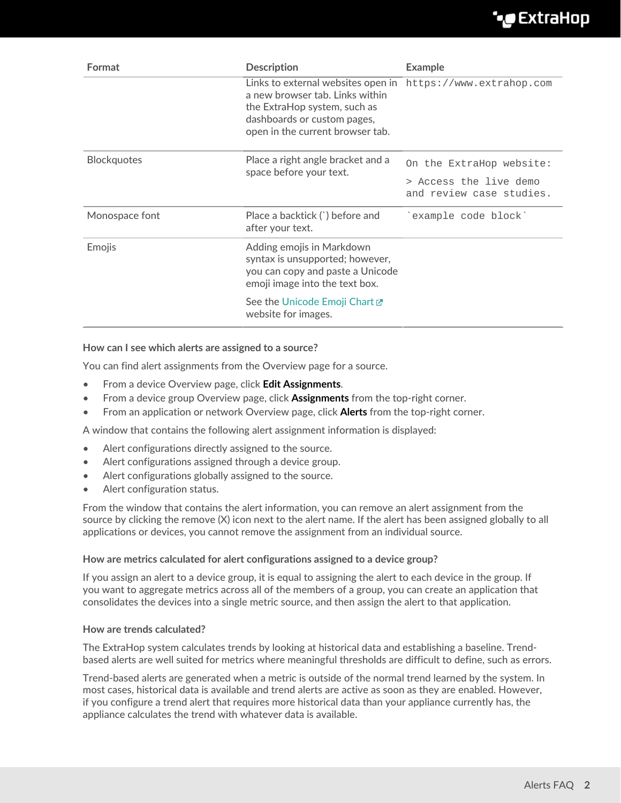## **∙.e** ExtraHop

| Format             | <b>Description</b>                                                                                                                                                       | <b>Example</b>                                     |
|--------------------|--------------------------------------------------------------------------------------------------------------------------------------------------------------------------|----------------------------------------------------|
|                    | Links to external websites open in<br>a new browser tab. Links within<br>the ExtraHop system, such as<br>dashboards or custom pages,<br>open in the current browser tab. | https://www.extrahop.com                           |
| <b>Blockquotes</b> | Place a right angle bracket and a<br>space before your text.                                                                                                             | On the ExtraHop website:                           |
|                    |                                                                                                                                                                          | > Access the live demo<br>and review case studies. |
| Monospace font     | Place a backtick (`) before and<br>after your text.                                                                                                                      | `example code block`                               |
| Emojis             | Adding emojis in Markdown<br>syntax is unsupported; however,<br>you can copy and paste a Unicode<br>emoji image into the text box.                                       |                                                    |
|                    | See the Unicode Emoji Chart L'<br>website for images.                                                                                                                    |                                                    |

#### <span id="page-1-0"></span>**How can I see which alerts are assigned to a source?**

You can find alert assignments from the Overview page for a source.

- From a device Overview page, click **Edit Assignments**.
- From a device group Overview page, click **Assignments** from the top-right corner.
- From an application or network Overview page, click **Alerts** from the top-right corner.

A window that contains the following alert assignment information is displayed:

- Alert configurations directly assigned to the source.
- Alert configurations assigned through a device group.
- Alert configurations globally assigned to the source.
- Alert configuration status.

From the window that contains the alert information, you can remove an alert assignment from the source by clicking the remove (X) icon next to the alert name. If the alert has been assigned globally to all applications or devices, you cannot remove the assignment from an individual source.

#### <span id="page-1-1"></span>**How are metrics calculated for alert configurations assigned to a device group?**

If you assign an alert to a device group, it is equal to assigning the alert to each device in the group. If you want to aggregate metrics across all of the members of a group, you can create an application that consolidates the devices into a single metric source, and then assign the alert to that application.

#### <span id="page-1-2"></span>**How are trends calculated?**

The ExtraHop system calculates trends by looking at historical data and establishing a baseline. Trendbased alerts are well suited for metrics where meaningful thresholds are difficult to define, such as errors.

Trend-based alerts are generated when a metric is outside of the normal trend learned by the system. In most cases, historical data is available and trend alerts are active as soon as they are enabled. However, if you configure a trend alert that requires more historical data than your appliance currently has, the appliance calculates the trend with whatever data is available.